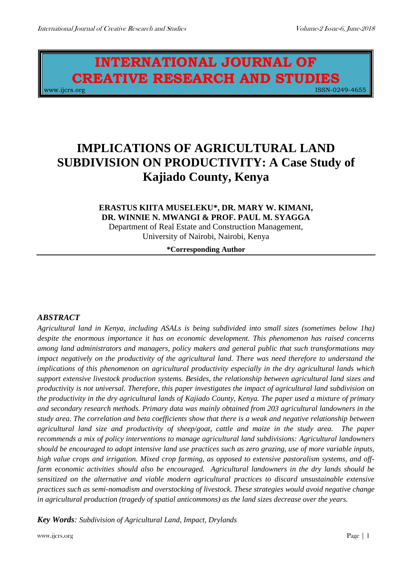## **INTERNATIONAL JOURNAL OF CREATIVE RESEARCH AND STUDIES** www.ijcrs.org ISSN-0249-4655 بالمستخدم المستخدم المستخدم المستخدم المستخدم المستخدم المستخدم المستخدم المستخدم

# **IMPLICATIONS OF AGRICULTURAL LAND SUBDIVISION ON PRODUCTIVITY: A Case Study of Kajiado County, Kenya**

#### **ERASTUS KIITA MUSELEKU\*, DR. MARY W. KIMANI, DR. WINNIE N. MWANGI & PROF. PAUL M. SYAGGA** Department of Real Estate and Construction Management,

University of Nairobi, Nairobi, Kenya

**\*Corresponding Author**

## *ABSTRACT*

*Agricultural land in Kenya, including ASALs is being subdivided into small sizes (sometimes below 1ha) despite the enormous importance it has on economic development. This phenomenon has raised concerns among land administrators and managers, policy makers and general public that such transformations may impact negatively on the productivity of the agricultural land. There was need therefore to understand the implications of this phenomenon on agricultural productivity especially in the dry agricultural lands which support extensive livestock production systems. Besides, the relationship between agricultural land sizes and productivity is not universal. Therefore, this paper investigates the impact of agricultural land subdivision on the productivity in the dry agricultural lands of Kajiado County, Kenya. The paper used a mixture of primary and secondary research methods. Primary data was mainly obtained from 203 agricultural landowners in the study area. The correlation and beta coefficients show that there is a weak and negative relationship between agricultural land size and productivity of sheep/goat, cattle and maize in the study area. The paper recommends a mix of policy interventions to manage agricultural land subdivisions: Agricultural landowners should be encouraged to adopt intensive land use practices such as zero grazing, use of more variable inputs, high value crops and irrigation. Mixed crop farming, as opposed to extensive pastoralism systems, and offfarm economic activities should also be encouraged. Agricultural landowners in the dry lands should be sensitized on the alternative and viable modern agricultural practices to discard unsustainable extensive practices such as semi-nomadism and overstocking of livestock. These strategies would avoid negative change in agricultural production (tragedy of spatial anticommons) as the land sizes decrease over the years.* 

*Key Words: Subdivision of Agricultural Land, Impact, Drylands*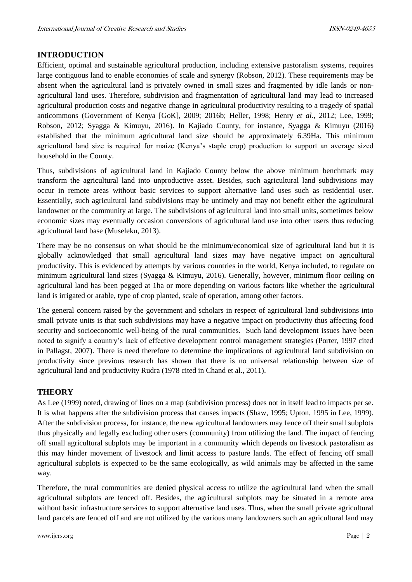## **INTRODUCTION**

Efficient, optimal and sustainable agricultural production, including extensive pastoralism systems, requires large contiguous land to enable economies of scale and synergy (Robson, 2012). These requirements may be absent when the agricultural land is privately owned in small sizes and fragmented by idle lands or nonagricultural land uses. Therefore, subdivision and fragmentation of agricultural land may lead to increased agricultural production costs and negative change in agricultural productivity resulting to a tragedy of spatial anticommons (Government of Kenya [GoK], 2009; 2016b; Heller, 1998; Henry *et al.*, 2012; Lee, 1999; Robson, 2012; Syagga & Kimuyu, 2016). In Kajiado County, for instance, Syagga & Kimuyu (2016) established that the minimum agricultural land size should be approximately 6.39Ha. This minimum agricultural land size is required for maize (Kenya's staple crop) production to support an average sized household in the County.

Thus, subdivisions of agricultural land in Kajiado County below the above minimum benchmark may transform the agricultural land into unproductive asset. Besides, such agricultural land subdivisions may occur in remote areas without basic services to support alternative land uses such as residential user. Essentially, such agricultural land subdivisions may be untimely and may not benefit either the agricultural landowner or the community at large. The subdivisions of agricultural land into small units, sometimes below economic sizes may eventually occasion conversions of agricultural land use into other users thus reducing agricultural land base (Museleku, 2013).

There may be no consensus on what should be the minimum/economical size of agricultural land but it is globally acknowledged that small agricultural land sizes may have negative impact on agricultural productivity. This is evidenced by attempts by various countries in the world, Kenya included, to regulate on minimum agricultural land sizes (Syagga & Kimuyu, 2016). Generally, however, minimum floor ceiling on agricultural land has been pegged at 1ha or more depending on various factors like whether the agricultural land is irrigated or arable, type of crop planted, scale of operation, among other factors.

The general concern raised by the government and scholars in respect of agricultural land subdivisions into small private units is that such subdivisions may have a negative impact on productivity thus affecting food security and socioeconomic well-being of the rural communities. Such land development issues have been noted to signify a country's lack of effective development control management strategies (Porter, 1997 cited in Pallagst, 2007). There is need therefore to determine the implications of agricultural land subdivision on productivity since previous research has shown that there is no universal relationship between size of agricultural land and productivity Rudra (1978 cited in Chand et al., 2011).

## **THEORY**

As Lee (1999) noted, drawing of lines on a map (subdivision process) does not in itself lead to impacts per se. It is what happens after the subdivision process that causes impacts (Shaw, 1995; Upton, 1995 in Lee, 1999). After the subdivision process, for instance, the new agricultural landowners may fence off their small subplots thus physically and legally excluding other users (community) from utilizing the land. The impact of fencing off small agricultural subplots may be important in a community which depends on livestock pastoralism as this may hinder movement of livestock and limit access to pasture lands. The effect of fencing off small agricultural subplots is expected to be the same ecologically, as wild animals may be affected in the same way.

Therefore, the rural communities are denied physical access to utilize the agricultural land when the small agricultural subplots are fenced off. Besides, the agricultural subplots may be situated in a remote area without basic infrastructure services to support alternative land uses. Thus, when the small private agricultural land parcels are fenced off and are not utilized by the various many landowners such an agricultural land may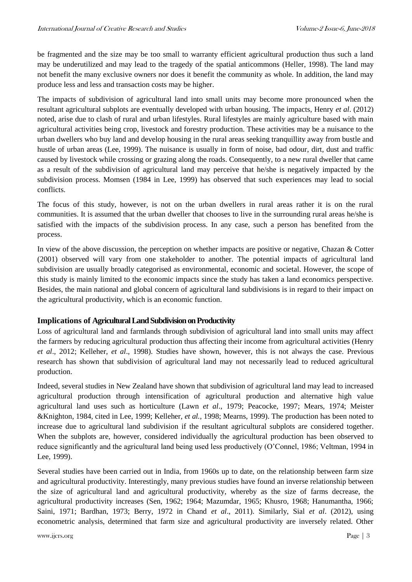be fragmented and the size may be too small to warranty efficient agricultural production thus such a land may be underutilized and may lead to the tragedy of the spatial anticommons (Heller, 1998). The land may not benefit the many exclusive owners nor does it benefit the community as whole. In addition, the land may produce less and less and transaction costs may be higher.

The impacts of subdivision of agricultural land into small units may become more pronounced when the resultant agricultural subplots are eventually developed with urban housing. The impacts, Henry *et al*. (2012) noted, arise due to clash of rural and urban lifestyles. Rural lifestyles are mainly agriculture based with main agricultural activities being crop, livestock and forestry production. These activities may be a nuisance to the urban dwellers who buy land and develop housing in the rural areas seeking tranquillity away from bustle and hustle of urban areas (Lee, 1999). The nuisance is usually in form of noise, bad odour, dirt, dust and traffic caused by livestock while crossing or grazing along the roads. Consequently, to a new rural dweller that came as a result of the subdivision of agricultural land may perceive that he/she is negatively impacted by the subdivision process. Momsen (1984 in Lee, 1999) has observed that such experiences may lead to social conflicts.

The focus of this study, however, is not on the urban dwellers in rural areas rather it is on the rural communities. It is assumed that the urban dweller that chooses to live in the surrounding rural areas he/she is satisfied with the impacts of the subdivision process. In any case, such a person has benefited from the process.

In view of the above discussion, the perception on whether impacts are positive or negative, Chazan & Cotter (2001) observed will vary from one stakeholder to another. The potential impacts of agricultural land subdivision are usually broadly categorised as environmental, economic and societal. However, the scope of this study is mainly limited to the economic impacts since the study has taken a land economics perspective. Besides, the main national and global concern of agricultural land subdivisions is in regard to their impact on the agricultural productivity, which is an economic function.

#### **Implications of Agricultural Land Subdivision on Productivity**

Loss of agricultural land and farmlands through subdivision of agricultural land into small units may affect the farmers by reducing agricultural production thus affecting their income from agricultural activities (Henry *et al*., 2012; Kelleher, *et al*., 1998). Studies have shown, however, this is not always the case. Previous research has shown that subdivision of agricultural land may not necessarily lead to reduced agricultural production.

Indeed, several studies in New Zealand have shown that subdivision of agricultural land may lead to increased agricultural production through intensification of agricultural production and alternative high value agricultural land uses such as horticulture (Lawn *et al*., 1979; Peacocke, 1997; Mears, 1974; Meister &Knighton, 1984, cited in Lee, 1999; Kelleher, *et al.*, 1998; Mearns, 1999). The production has been noted to increase due to agricultural land subdivision if the resultant agricultural subplots are considered together. When the subplots are, however, considered individually the agricultural production has been observed to reduce significantly and the agricultural land being used less productively (O'Connel, 1986; Veltman, 1994 in Lee, 1999).

Several studies have been carried out in India, from 1960s up to date, on the relationship between farm size and agricultural productivity. Interestingly, many previous studies have found an inverse relationship between the size of agricultural land and agricultural productivity, whereby as the size of farms decrease, the agricultural productivity increases (Sen, 1962; 1964; Mazumdar, 1965; Khusro, 1968; Hanumantha, 1966; Saini, 1971; Bardhan, 1973; Berry, 1972 in Chand *et al*., 2011). Similarly, Sial *et al*. (2012), using econometric analysis, determined that farm size and agricultural productivity are inversely related. Other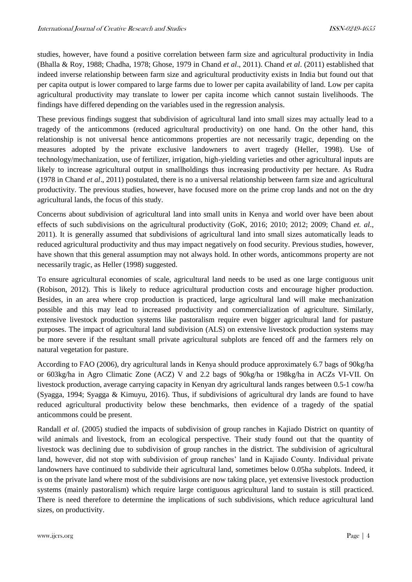studies, however, have found a positive correlation between farm size and agricultural productivity in India (Bhalla & Roy, 1988; Chadha, 1978; Ghose, 1979 in Chand *et al*., 2011). Chand *et al*. (2011) established that indeed inverse relationship between farm size and agricultural productivity exists in India but found out that per capita output is lower compared to large farms due to lower per capita availability of land. Low per capita agricultural productivity may translate to lower per capita income which cannot sustain livelihoods. The findings have differed depending on the variables used in the regression analysis.

These previous findings suggest that subdivision of agricultural land into small sizes may actually lead to a tragedy of the anticommons (reduced agricultural productivity) on one hand. On the other hand, this relationship is not universal hence anticommons properties are not necessarily tragic, depending on the measures adopted by the private exclusive landowners to avert tragedy (Heller, 1998). Use of technology/mechanization, use of fertilizer, irrigation, high-yielding varieties and other agricultural inputs are likely to increase agricultural output in smallholdings thus increasing productivity per hectare. As Rudra (1978 in Chand *et al*., 2011) postulated, there is no a universal relationship between farm size and agricultural productivity. The previous studies, however, have focused more on the prime crop lands and not on the dry agricultural lands, the focus of this study.

Concerns about subdivision of agricultural land into small units in Kenya and world over have been about effects of such subdivisions on the agricultural productivity (GoK, 2016; 2010; 2012; 2009; Chand *et. al*., 2011). It is generally assumed that subdivisions of agricultural land into small sizes automatically leads to reduced agricultural productivity and thus may impact negatively on food security. Previous studies, however, have shown that this general assumption may not always hold. In other words, anticommons property are not necessarily tragic, as Heller (1998) suggested.

To ensure agricultural economies of scale, agricultural land needs to be used as one large contiguous unit (Robison, 2012). This is likely to reduce agricultural production costs and encourage higher production. Besides, in an area where crop production is practiced, large agricultural land will make mechanization possible and this may lead to increased productivity and commercialization of agriculture. Similarly, extensive livestock production systems like pastoralism require even bigger agricultural land for pasture purposes. The impact of agricultural land subdivision (ALS) on extensive livestock production systems may be more severe if the resultant small private agricultural subplots are fenced off and the farmers rely on natural vegetation for pasture.

According to FAO (2006), dry agricultural lands in Kenya should produce approximately 6.7 bags of 90kg/ha or 603kg/ha in Agro Climatic Zone (ACZ) V and 2.2 bags of 90kg/ha or 198kg/ha in ACZs VI-VII. On livestock production, average carrying capacity in Kenyan dry agricultural lands ranges between 0.5-1 cow/ha (Syagga, 1994; Syagga & Kimuyu, 2016). Thus, if subdivisions of agricultural dry lands are found to have reduced agricultural productivity below these benchmarks, then evidence of a tragedy of the spatial anticommons could be present.

Randall *et al*. (2005) studied the impacts of subdivision of group ranches in Kajiado District on quantity of wild animals and livestock, from an ecological perspective. Their study found out that the quantity of livestock was declining due to subdivision of group ranches in the district. The subdivision of agricultural land, however, did not stop with subdivision of group ranches' land in Kajiado County. Individual private landowners have continued to subdivide their agricultural land, sometimes below 0.05ha subplots. Indeed, it is on the private land where most of the subdivisions are now taking place, yet extensive livestock production systems (mainly pastoralism) which require large contiguous agricultural land to sustain is still practiced. There is need therefore to determine the implications of such subdivisions, which reduce agricultural land sizes, on productivity.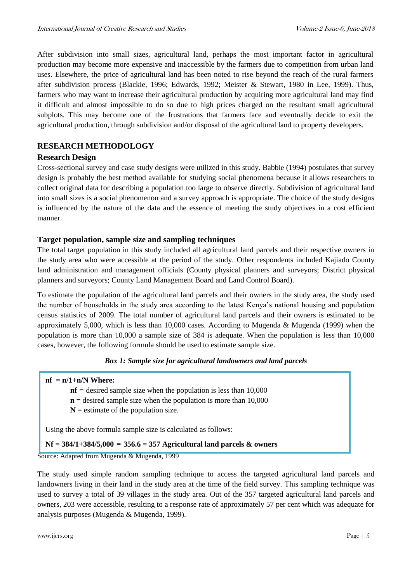After subdivision into small sizes, agricultural land, perhaps the most important factor in agricultural production may become more expensive and inaccessible by the farmers due to competition from urban land uses. Elsewhere, the price of agricultural land has been noted to rise beyond the reach of the rural farmers after subdivision process (Blackie, 1996; Edwards, 1992; Meister & Stewart, 1980 in Lee, 1999). Thus, farmers who may want to increase their agricultural production by acquiring more agricultural land may find it difficult and almost impossible to do so due to high prices charged on the resultant small agricultural subplots. This may become one of the frustrations that farmers face and eventually decide to exit the agricultural production, through subdivision and/or disposal of the agricultural land to property developers.

### **RESEARCH METHODOLOGY**

#### **Research Design**

Cross-sectional survey and case study designs were utilized in this study. Babbie (1994) postulates that survey design is probably the best method available for studying social phenomena because it allows researchers to collect original data for describing a population too large to observe directly. Subdivision of agricultural land into small sizes is a social phenomenon and a survey approach is appropriate. The choice of the study designs is influenced by the nature of the data and the essence of meeting the study objectives in a cost efficient manner.

#### **Target population, sample size and sampling techniques**

The total target population in this study included all agricultural land parcels and their respective owners in the study area who were accessible at the period of the study. Other respondents included Kajiado County land administration and management officials (County physical planners and surveyors; District physical planners and surveyors; County Land Management Board and Land Control Board).

To estimate the population of the agricultural land parcels and their owners in the study area, the study used the number of households in the study area according to the latest Kenya's national housing and population census statistics of 2009. The total number of agricultural land parcels and their owners is estimated to be approximately 5,000, which is less than 10,000 cases. According to Mugenda  $\&$  Mugenda (1999) when the population is more than 10,000 a sample size of 384 is adequate. When the population is less than 10,000 cases, however, the following formula should be used to estimate sample size.

#### *Box 1: Sample size for agricultural landowners and land parcels*

#### **nf = n/1+n/N Where:**

- **nf** *=* desired sample size when the population is less than 10,000
- $n =$  desired sample size when the population is more than  $10,000$
- $N =$  estimate of the population size.

Using the above formula sample size is calculated as follows:

**Nf = 384/1+384/5,000 = 356.6 = 357 Agricultural land parcels & owners**

Source: Adapted from Mugenda & Mugenda, 1999

The study used simple random sampling technique to access the targeted agricultural land parcels and landowners living in their land in the study area at the time of the field survey. This sampling technique was used to survey a total of 39 villages in the study area. Out of the 357 targeted agricultural land parcels and owners, 203 were accessible, resulting to a response rate of approximately 57 per cent which was adequate for analysis purposes (Mugenda & Mugenda, 1999).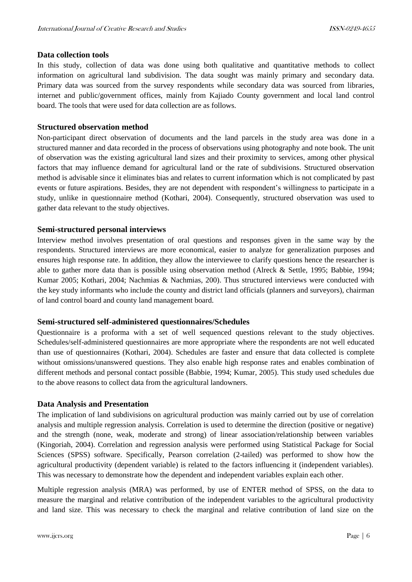#### **Data collection tools**

In this study, collection of data was done using both qualitative and quantitative methods to collect information on agricultural land subdivision. The data sought was mainly primary and secondary data. Primary data was sourced from the survey respondents while secondary data was sourced from libraries, internet and public/government offices, mainly from Kajiado County government and local land control board. The tools that were used for data collection are as follows.

#### **Structured observation method**

Non-participant direct observation of documents and the land parcels in the study area was done in a structured manner and data recorded in the process of observations using photography and note book. The unit of observation was the existing agricultural land sizes and their proximity to services, among other physical factors that may influence demand for agricultural land or the rate of subdivisions. Structured observation method is advisable since it eliminates bias and relates to current information which is not complicated by past events or future aspirations. Besides, they are not dependent with respondent's willingness to participate in a study, unlike in questionnaire method (Kothari, 2004). Consequently, structured observation was used to gather data relevant to the study objectives.

#### **Semi-structured personal interviews**

Interview method involves presentation of oral questions and responses given in the same way by the respondents. Structured interviews are more economical, easier to analyze for generalization purposes and ensures high response rate. In addition, they allow the interviewee to clarify questions hence the researcher is able to gather more data than is possible using observation method (Alreck & Settle, 1995; Babbie, 1994; Kumar 2005; Kothari, 2004; Nachmias & Nachmias, 200). Thus structured interviews were conducted with the key study informants who include the county and district land officials (planners and surveyors), chairman of land control board and county land management board.

#### **Semi-structured self-administered questionnaires/Schedules**

Questionnaire is a proforma with a set of well sequenced questions relevant to the study objectives. Schedules/self-administered questionnaires are more appropriate where the respondents are not well educated than use of questionnaires (Kothari, 2004). Schedules are faster and ensure that data collected is complete without omissions/unanswered questions. They also enable high response rates and enables combination of different methods and personal contact possible (Babbie, 1994; Kumar, 2005). This study used schedules due to the above reasons to collect data from the agricultural landowners.

#### **Data Analysis and Presentation**

The implication of land subdivisions on agricultural production was mainly carried out by use of correlation analysis and multiple regression analysis. Correlation is used to determine the direction (positive or negative) and the strength (none, weak, moderate and strong) of linear association/relationship between variables (Kingoriah, 2004). Correlation and regression analysis were performed using Statistical Package for Social Sciences (SPSS) software. Specifically, Pearson correlation (2-tailed) was performed to show how the agricultural productivity (dependent variable) is related to the factors influencing it (independent variables). This was necessary to demonstrate how the dependent and independent variables explain each other.

Multiple regression analysis (MRA) was performed, by use of ENTER method of SPSS, on the data to measure the marginal and relative contribution of the independent variables to the agricultural productivity and land size. This was necessary to check the marginal and relative contribution of land size on the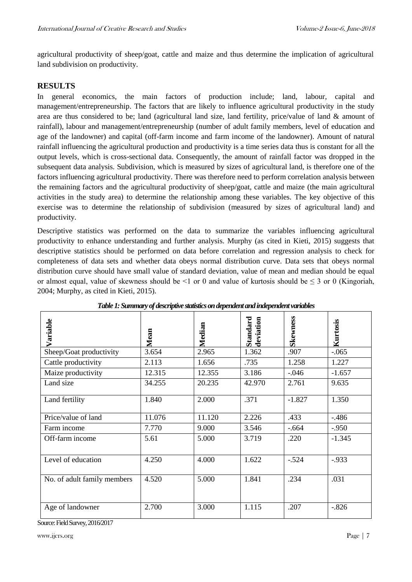agricultural productivity of sheep/goat, cattle and maize and thus determine the implication of agricultural land subdivision on productivity.

#### **RESULTS**

In general economics, the main factors of production include; land, labour, capital and management/entrepreneurship. The factors that are likely to influence agricultural productivity in the study area are thus considered to be; land (agricultural land size, land fertility, price/value of land & amount of rainfall), labour and management/entrepreneurship (number of adult family members, level of education and age of the landowner) and capital (off-farm income and farm income of the landowner). Amount of natural rainfall influencing the agricultural production and productivity is a time series data thus is constant for all the output levels, which is cross-sectional data. Consequently, the amount of rainfall factor was dropped in the subsequent data analysis. Subdivision, which is measured by sizes of agricultural land, is therefore one of the factors influencing agricultural productivity. There was therefore need to perform correlation analysis between the remaining factors and the agricultural productivity of sheep/goat, cattle and maize (the main agricultural activities in the study area) to determine the relationship among these variables. The key objective of this exercise was to determine the relationship of subdivision (measured by sizes of agricultural land) and productivity.

Descriptive statistics was performed on the data to summarize the variables influencing agricultural productivity to enhance understanding and further analysis. Murphy (as cited in Kieti, 2015) suggests that descriptive statistics should be performed on data before correlation and regression analysis to check for completeness of data sets and whether data obeys normal distribution curve. Data sets that obeys normal distribution curve should have small value of standard deviation, value of mean and median should be equal or almost equal, value of skewness should be <1 or 0 and value of kurtosis should be  $\leq$  3 or 0 (Kingoriah, 2004; Murphy, as cited in Kieti, 2015).

| Variable                    | Mean   | Median | <b>Standard</b><br>deviation | Skewness | Kurtosis |
|-----------------------------|--------|--------|------------------------------|----------|----------|
| Sheep/Goat productivity     | 3.654  | 2.965  | 1.362                        | .907     | $-.065$  |
| Cattle productivity         | 2.113  | 1.656  | .735                         | 1.258    | 1.227    |
| Maize productivity          | 12.315 | 12.355 | 3.186                        | $-.046$  | $-1.657$ |
| Land size                   | 34.255 | 20.235 | 42.970                       | 2.761    | 9.635    |
| Land fertility              | 1.840  | 2.000  | .371                         | $-1.827$ | 1.350    |
| Price/value of land         | 11.076 | 11.120 | 2.226                        | .433     | $-486$   |
| Farm income                 | 7.770  | 9.000  | 3.546                        | $-.664$  | $-.950$  |
| Off-farm income             | 5.61   | 5.000  | 3.719                        | .220     | $-1.345$ |
| Level of education          | 4.250  | 4.000  | 1.622                        | $-.524$  | $-0.933$ |
| No. of adult family members | 4.520  | 5.000  | 1.841                        | .234     | .031     |
| Age of landowner            | 2.700  | 3.000  | 1.115                        | .207     | $-.826$  |

*Table 1: Summary of descriptive statistics on dependent and independent variables*

Source: Field Survey, 2016/2017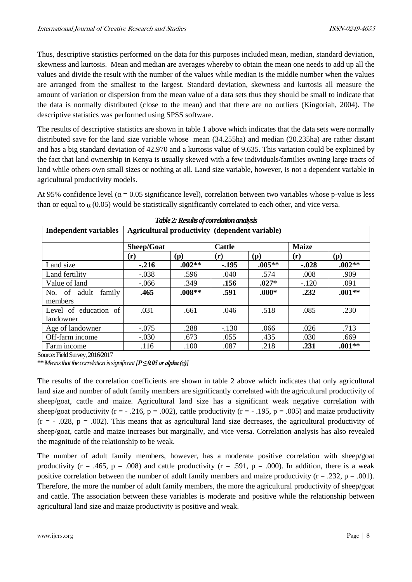Thus, descriptive statistics performed on the data for this purposes included mean, median, standard deviation, skewness and kurtosis. Mean and median are averages whereby to obtain the mean one needs to add up all the values and divide the result with the number of the values while median is the middle number when the values are arranged from the smallest to the largest. Standard deviation, skewness and kurtosis all measure the amount of variation or dispersion from the mean value of a data sets thus they should be small to indicate that the data is normally distributed (close to the mean) and that there are no outliers (Kingoriah, 2004). The descriptive statistics was performed using SPSS software.

The results of descriptive statistics are shown in table 1 above which indicates that the data sets were normally distributed save for the land size variable whose mean (34.255ha) and median (20.235ha) are rather distant and has a big standard deviation of 42.970 and a kurtosis value of 9.635. This variation could be explained by the fact that land ownership in Kenya is usually skewed with a few individuals/families owning large tracts of land while others own small sizes or nothing at all. Land size variable, however, is not a dependent variable in agricultural productivity models.

At 95% confidence level ( $\alpha$  = 0.05 significance level), correlation between two variables whose p-value is less than or equal to  $\alpha$  (0.05) would be statistically significantly correlated to each other, and vice versa.

| <b>Independent variables</b> | Agricultural productivity (dependent variable) |          |                |          |              |                |
|------------------------------|------------------------------------------------|----------|----------------|----------|--------------|----------------|
|                              | Sheep/Goat                                     |          | <b>Cattle</b>  |          | <b>Maize</b> |                |
|                              | (r)                                            | (p)      | $(\mathbf{r})$ | (p)      | (r)          | $(\mathbf{p})$ |
| Land size                    | $-216$                                         | $.002**$ | $-.195$        | $.005**$ | $-.028$      | $.002**$       |
| Land fertility               | $-.038$                                        | .596     | .040           | .574     | .008         | .909           |
| Value of land                | $-.066$                                        | .349     | .156           | $.027*$  | $-.120$      | .091           |
| family<br>No. of adult       | .465                                           | $.008**$ | .591           | $.000*$  | .232         | $.001**$       |
| members                      |                                                |          |                |          |              |                |
| Level of education of        | .031                                           | .661     | .046           | .518     | .085         | .230           |
| landowner                    |                                                |          |                |          |              |                |
| Age of landowner             | $-.075$                                        | .288     | $-130$         | .066     | .026         | .713           |
| Off-farm income              | $-.030$                                        | .673     | .055           | .435     | .030         | .669           |
| Farm income                  | .116                                           | .100     | .087           | .218     | .231         | $.001**$       |

#### *Table 2: Results of correlation analysis*

Source: Field Survey, 2016/2017

\*\* *Means that the correlation is significant*  $[P \leq 0.05$  or alpha ( $\alpha$ )]

The results of the correlation coefficients are shown in table 2 above which indicates that only agricultural land size and number of adult family members are significantly correlated with the agricultural productivity of sheep/goat, cattle and maize. Agricultural land size has a significant weak negative correlation with sheep/goat productivity ( $r = -0.216$ ,  $p = 0.002$ ), cattle productivity ( $r = -0.195$ ,  $p = 0.005$ ) and maize productivity  $(r = -0.028, p = 0.002)$ . This means that as agricultural land size decreases, the agricultural productivity of sheep/goat, cattle and maize increases but marginally, and vice versa. Correlation analysis has also revealed the magnitude of the relationship to be weak.

The number of adult family members, however, has a moderate positive correlation with sheep/goat productivity (r = .465, p = .008) and cattle productivity (r = .591, p = .000). In addition, there is a weak positive correlation between the number of adult family members and maize productivity  $(r = .232, p = .001)$ . Therefore, the more the number of adult family members, the more the agricultural productivity of sheep/goat and cattle. The association between these variables is moderate and positive while the relationship between agricultural land size and maize productivity is positive and weak.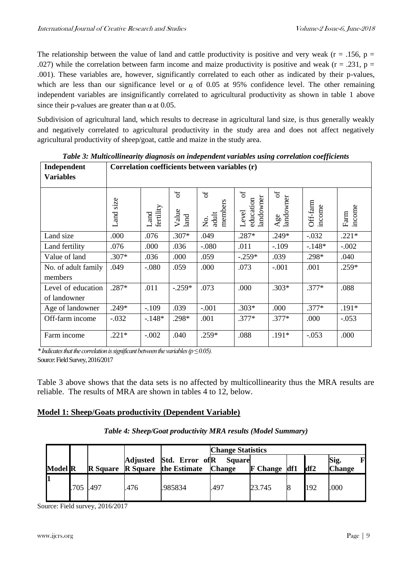The relationship between the value of land and cattle productivity is positive and very weak ( $r = .156$ ,  $p =$ .027) while the correlation between farm income and maize productivity is positive and weak ( $r = .231$ ,  $p =$ .001). These variables are, however, significantly correlated to each other as indicated by their p-values, which are less than our significance level or  $\alpha$  of 0.05 at 95% confidence level. The other remaining independent variables are insignificantly correlated to agricultural productivity as shown in table 1 above since their p-values are greater than  $\alpha$  at 0.05.

Subdivision of agricultural land, which results to decrease in agricultural land size, is thus generally weakly and negatively correlated to agricultural productivity in the study area and does not affect negatively agricultural productivity of sheep/goat, cattle and maize in the study area.

| Independent                        |              |                   |                             | Correlation coefficients between variables (r) |                                             |                                 | vv                 |                |
|------------------------------------|--------------|-------------------|-----------------------------|------------------------------------------------|---------------------------------------------|---------------------------------|--------------------|----------------|
| <b>Variables</b>                   |              |                   |                             |                                                |                                             |                                 |                    |                |
|                                    | size<br>Land | fertility<br>Land | $\sigma$ f<br>Value<br>land | $\sigma$<br>members<br>No.<br>adult            | $\sigma$<br>landowner<br>education<br>Level | $\sigma$<br>Age of<br>landowner | Off-farm<br>income | income<br>Farm |
| Land size                          | .000         | .076              | .307*                       | .049                                           | .287*                                       | $.249*$                         | $-.032$            | $.221*$        |
| Land fertility                     | .076         | .000              | .036                        | $-.080$                                        | .011                                        | $-.109$                         | $-.148*$           | $-.002$        |
| Value of land                      | $.307*$      | .036              | .000                        | .059                                           | $-.259*$                                    | .039                            | .298*              | .040           |
| No. of adult family<br>members     | .049         | $-.080$           | .059                        | .000                                           | .073                                        | $-.001$                         | .001               | .259*          |
| Level of education<br>of landowner | $.287*$      | .011              | $-.259*$                    | .073                                           | .000                                        | $.303*$                         | $.377*$            | .088           |
| Age of landowner                   | $.249*$      | $-.109$           | .039                        | $-.001$                                        | $.303*$                                     | .000                            | $.377*$            | $.191*$        |
| Off-farm income                    | $-.032$      | $-.148*$          | .298*                       | .001                                           | $.377*$                                     | $.377*$                         | .000               | $-.053$        |
| Farm income                        | $.221*$      | $-.002$           | .040                        | $.259*$                                        | .088                                        | $.191*$                         | $-.053$            | .000           |

*Table 3: Multicollinearity diagnosis on independent variables using correlation coefficients*

*\* Indicates that the correlation is significant between the variables (p ≤ 0.05).* Source: Field Survey, 2016/2017

Table 3 above shows that the data sets is no affected by multicollinearity thus the MRA results are reliable. The results of MRA are shown in tables 4 to 12, below.

## **Model 1: Sheep/Goats productivity (Dependent Variable)**

| Table 4: Sheep/Goat productivity MRA results (Model Summary) |  |  |
|--------------------------------------------------------------|--|--|
|--------------------------------------------------------------|--|--|

|                |      |                 |      |                                                                 | <b>Change Statistics</b> |                     |     |                       |
|----------------|------|-----------------|------|-----------------------------------------------------------------|--------------------------|---------------------|-----|-----------------------|
| <b>Model R</b> |      | <b>R</b> Square |      | Adjusted Std. Error of R<br><b>R</b> Square the Estimate Change | <b>Square</b>            | <b>F</b> Change df1 | df2 | Sig.<br><b>Change</b> |
|                | .705 | .497            | .476 | .985834                                                         | .497                     | 23.745              | 192 | .000                  |

Source: Field survey, 2016/2017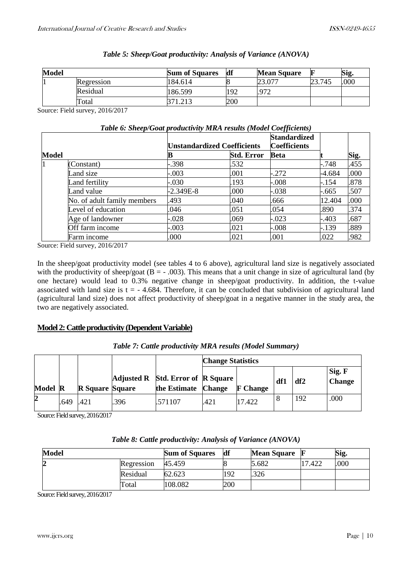| Model |            | <b>Sum of Squares</b> | df  | <b>Mean Square</b> | $\mathbf F$ | Sig. |
|-------|------------|-----------------------|-----|--------------------|-------------|------|
|       | Regression | 184.614               | 8   | $\Omega$           | 23.745      | .000 |
|       | Residual   | 186.599               | 192 | 972                |             |      |
|       | Total      | 212                   | 200 |                    |             |      |

#### *Table 5: Sheep/Goat productivity: Analysis of Variance (ANOVA)*

Source: Field survey, 2016/2017

| Table 6: Sheep/Goat productivity MRA results (Model Coefficients) |  |  |  |
|-------------------------------------------------------------------|--|--|--|
|-------------------------------------------------------------------|--|--|--|

|              |                             | <b>Unstandardized Coefficients</b> |                   | <b>Standardized</b><br><b>Coefficients</b> |         |      |
|--------------|-----------------------------|------------------------------------|-------------------|--------------------------------------------|---------|------|
| <b>Model</b> |                             |                                    | <b>Std. Error</b> | <b>Beta</b>                                |         | Sig. |
| 11           | Constant)                   | -.398                              | .532              |                                            | -.748   | .455 |
|              | and size                    | $-.003$                            | .001              | $-.272$                                    | -4.684  | .000 |
|              | and fertility               | -.030                              | .193              | $-0.08$                                    | $-.154$ | .878 |
|              | and value                   | $-2.349E-8$                        | .000              | $-.038$                                    | -.665   | .507 |
|              | No. of adult family members | .493                               | .040              | .666                                       | 12.404  | .000 |
|              | Level of education          | .046                               | .051              | .054                                       | .890    | .374 |
|              | Age of landowner            | $-0.028$                           | .069              | $-.023$                                    | $-.403$ | .687 |
|              | Off farm income             | -.003                              | .021              | -.008                                      | -.139   | .889 |
|              | Farm income                 | .000                               | .021              | .001                                       | .022    | .982 |

Source: Field survey, 2016/2017

In the sheep/goat productivity model (see tables 4 to 6 above), agricultural land size is negatively associated with the productivity of sheep/goat ( $B = -0.003$ ). This means that a unit change in size of agricultural land (by one hectare) would lead to 0.3% negative change in sheep/goat productivity. In addition, the t-value associated with land size is  $t = -4.684$ . Therefore, it can be concluded that subdivision of agricultural land (agricultural land size) does not affect productivity of sheep/goat in a negative manner in the study area, the two are negatively associated.

#### **Model 2: Cattle productivity (Dependent Variable)**

|         |      |                        |     |                                                          | <b>Change Statistics</b> |                 |     |     |                         |  |
|---------|------|------------------------|-----|----------------------------------------------------------|--------------------------|-----------------|-----|-----|-------------------------|--|
| Model R |      | <b>R</b> Square Square |     | Adjusted R Std. Error of R Square<br>the Estimate Change |                          | <b>F</b> Change | df1 | df2 | Sig. F<br><b>Change</b> |  |
| 2       | .649 | .421                   | 396 | .571107                                                  | .421                     | 17.422          |     | 192 | .000                    |  |

*Table 7: Cattle productivity MRA results (Model Summary)*

Source: Field survey, 2016/2017

|  | Table 8: Cattle productivity: Analysis of Variance (ANOVA) |  |  |  |
|--|------------------------------------------------------------|--|--|--|
|  |                                                            |  |  |  |

| <b>Model</b> |            | <b>Sum of Squares</b> | df  | <b>Mean Square</b> | Œ      | Sig. |
|--------------|------------|-----------------------|-----|--------------------|--------|------|
|              | Regression | 45.459                |     | 5.682              | 17.422 | .000 |
|              | Residual   | 62.623                | 192 | .326               |        |      |
|              | Total      | 108.082               | 200 |                    |        |      |

Source: Field survey, 2016/2017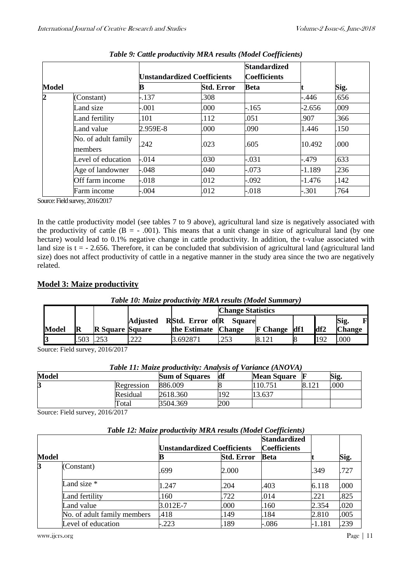|                |                                |          | Unstandardized Coefficients | <b>Standardized</b><br><b>Coefficients</b> |          |      |
|----------------|--------------------------------|----------|-----------------------------|--------------------------------------------|----------|------|
| Model          |                                |          | <b>Std. Error</b>           | <b>Beta</b>                                |          | Sig. |
| $\overline{2}$ | (Constant)                     | -.137    | .308                        |                                            | -.446    | .656 |
|                | Land size                      | $-.001$  | .000                        | -.165                                      | $-2.656$ | .009 |
|                | Land fertility                 | .101     | .112                        | .051                                       | .907     | .366 |
|                | Land value                     | 2.959E-8 | .000                        | .090                                       | 1.446    | .150 |
|                | No. of adult family<br>members | .242     | .023                        | .605                                       | 10.492   | .000 |
|                | Level of education             | $-.014$  | .030                        | $-.031$                                    | $-479$   | .633 |
|                | Age of landowner               | $-0.048$ | .040                        | $-.073$                                    | $-1.189$ | .236 |
|                | Off farm income                | $-0.018$ | .012                        | $-0.092$                                   | $-1.476$ | .142 |
|                | Farm income                    | $-.004$  | .012                        | $-0.018$                                   | -.301    | .764 |

| Table 9: Cattle productivity MRA results (Model Coefficients) |  |  |
|---------------------------------------------------------------|--|--|
|                                                               |  |  |

Source: Field survey, 2016/2017

In the cattle productivity model (see tables 7 to 9 above), agricultural land size is negatively associated with the productivity of cattle  $(B = -0.001)$ . This means that a unit change in size of agricultural land (by one hectare) would lead to 0.1% negative change in cattle productivity. In addition, the t-value associated with land size is  $t = -2.656$ . Therefore, it can be concluded that subdivision of agricultural land (agricultural land size) does not affect productivity of cattle in a negative manner in the study area since the two are negatively related.

## **Model 3: Maize productivity**

| Table 10: Maize productivity MRA results (Model Summary) |  |
|----------------------------------------------------------|--|
|                                                          |  |

|       |           |                        |                 |                                                | <b>Change Statistics</b> |                     |  |      |                                       |
|-------|-----------|------------------------|-----------------|------------------------------------------------|--------------------------|---------------------|--|------|---------------------------------------|
| Model | IR        | <b>R</b> Square Square | <b>Adjusted</b> | RStd. Error of R Square<br>the Estimate Change |                          | <b>F</b> Change df1 |  | ldf2 | $\mathbf{F}$<br>Sig.<br><b>Change</b> |
|       | .503 .253 |                        | റററ             | 3.692871                                       | .253                     | 8.121               |  | 192  | 000                                   |

Source: Field survey, 2016/2017

|       |            | Table 11. Malke productivity. Analysis of variance (ANOVA) |     |                    |       |      |
|-------|------------|------------------------------------------------------------|-----|--------------------|-------|------|
| Model |            | <b>Sum of Squares</b>                                      | df  | <b>Mean Square</b> |       | Sig. |
| ኅ     | Regression | 886.009                                                    |     | 110.751            | 8.121 | .000 |
|       | Residual   | 2618.360                                                   | 192 | 13.637             |       |      |
|       | Total      | 3504.369                                                   | 200 |                    |       |      |

*Table 11: Maize productivity: Analysis of Variance (ANOVA)*

Source: Field survey, 2016/2017

|  | Table 12: Maize productivity MRA results (Model Coefficients) |
|--|---------------------------------------------------------------|
|--|---------------------------------------------------------------|

|              |                             | Twore The Mark, promotively match results (monet Coefficients) |                                    |                                            |        |      |  |
|--------------|-----------------------------|----------------------------------------------------------------|------------------------------------|--------------------------------------------|--------|------|--|
|              |                             |                                                                | <b>Unstandardized Coefficients</b> | <b>Standardized</b><br><b>Coefficients</b> |        |      |  |
| <b>Model</b> |                             | В                                                              | <b>Std. Error</b>                  | <b>Beta</b>                                |        | Sig. |  |
| 3            | (Constant)                  | .699                                                           | 2.000                              |                                            | .349   | .727 |  |
|              | Land size *                 | 1.247                                                          | .204                               | .403                                       | 6.118  | .000 |  |
|              | Land fertility              | .160                                                           | .722                               | .014                                       | .221   | .825 |  |
|              | Land value                  | 3.012E-7                                                       | .000                               | .160                                       | 2.354  | .020 |  |
|              | No. of adult family members | .418                                                           | 149                                | .184                                       | 2.810  | .005 |  |
|              | Level of education          | $-223$                                                         | 189                                | -.086                                      | -1.181 | .239 |  |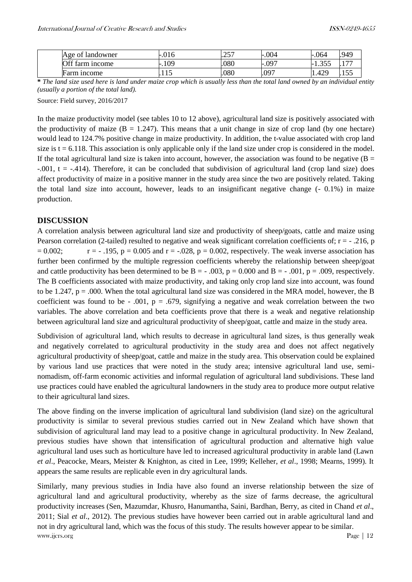| $^{\circ}$ 1<br>landowner<br>Age of | .016<br>$\overline{\phantom{0}}$   | $\Omega$ $\Gamma$<br>$-$ | .004 | .064                                | .949                            |
|-------------------------------------|------------------------------------|--------------------------|------|-------------------------------------|---------------------------------|
| ∩ff f<br>farm income                | $-109$<br>$\overline{\phantom{0}}$ | .080                     | .097 | $\cap$ $\subset$ $\subset$<br>1.JJJ | $\overline{\phantom{a}}$<br>. . |
| mcome<br>arm                        | .                                  | .080                     | .097 | 1.429                               | $\epsilon$<br>.                 |

**\*** *The land size used here is land under maize crop which is usually less than the total land owned by an individual entity (usually a portion of the total land).*

Source: Field survey, 2016/2017

In the maize productivity model (see tables 10 to 12 above), agricultural land size is positively associated with the productivity of maize  $(B = 1.247)$ . This means that a unit change in size of crop land (by one hectare) would lead to 124.7% positive change in maize productivity. In addition, the t-value associated with crop land size is  $t = 6.118$ . This association is only applicable only if the land size under crop is considered in the model. If the total agricultural land size is taken into account, however, the association was found to be negative  $(B =$ -.001, t = -.414). Therefore, it can be concluded that subdivision of agricultural land (crop land size) does affect productivity of maize in a positive manner in the study area since the two are positively related. Taking the total land size into account, however, leads to an insignificant negative change (- 0.1%) in maize production.

#### **DISCUSSION**

A correlation analysis between agricultural land size and productivity of sheep/goats, cattle and maize using Pearson correlation (2-tailed) resulted to negative and weak significant correlation coefficients of;  $r = -0.216$ , p  $r = 0.002$ ; r = - .195, p = 0.005 and r = -.028, p = 0.002, respectively. The weak inverse association has further been confirmed by the multiple regression coefficients whereby the relationship between sheep/goat and cattle productivity has been determined to be  $B = -0.003$ ,  $p = 0.000$  and  $B = -0.001$ ,  $p = 0.009$ , respectively. The B coefficients associated with maize productivity, and taking only crop land size into account, was found to be 1.247,  $p = .000$ . When the total agricultural land size was considered in the MRA model, however, the B coefficient was found to be - .001,  $p = .679$ , signifying a negative and weak correlation between the two variables. The above correlation and beta coefficients prove that there is a weak and negative relationship between agricultural land size and agricultural productivity of sheep/goat, cattle and maize in the study area.

Subdivision of agricultural land, which results to decrease in agricultural land sizes, is thus generally weak and negatively correlated to agricultural productivity in the study area and does not affect negatively agricultural productivity of sheep/goat, cattle and maize in the study area. This observation could be explained by various land use practices that were noted in the study area; intensive agricultural land use, seminomadism, off-farm economic activities and informal regulation of agricultural land subdivisions. These land use practices could have enabled the agricultural landowners in the study area to produce more output relative to their agricultural land sizes.

The above finding on the inverse implication of agricultural land subdivision (land size) on the agricultural productivity is similar to several previous studies carried out in New Zealand which have shown that subdivision of agricultural land may lead to a positive change in agricultural productivity. In New Zealand, previous studies have shown that intensification of agricultural production and alternative high value agricultural land uses such as horticulture have led to increased agricultural productivity in arable land (Lawn *et al*., Peacocke, Mears, Meister & Knighton, as cited in Lee, 1999; Kelleher, *et al*., 1998; Mearns, 1999). It appears the same results are replicable even in dry agricultural lands.

[www.ijcrs.org](http://www.ijcrs.org/) Page | 12 Similarly, many previous studies in India have also found an inverse relationship between the size of agricultural land and agricultural productivity, whereby as the size of farms decrease, the agricultural productivity increases (Sen, Mazumdar, Khusro, Hanumantha, Saini, Bardhan, Berry, as cited in Chand *et al*., 2011; Sial *et al*., 2012). The previous studies have however been carried out in arable agricultural land and not in dry agricultural land, which was the focus of this study. The results however appear to be similar.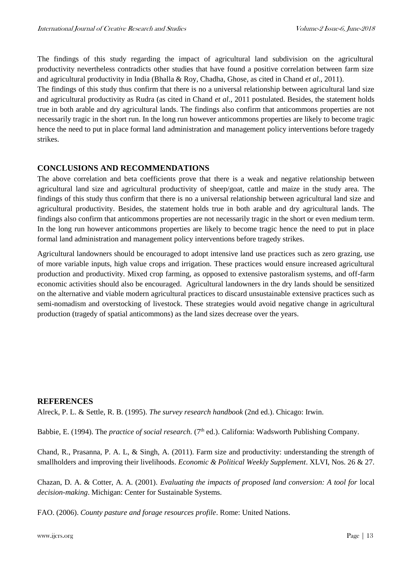The findings of this study regarding the impact of agricultural land subdivision on the agricultural productivity nevertheless contradicts other studies that have found a positive correlation between farm size and agricultural productivity in India (Bhalla & Roy, Chadha, Ghose, as cited in Chand *et al*., 2011).

The findings of this study thus confirm that there is no a universal relationship between agricultural land size and agricultural productivity as Rudra (as cited in Chand *et al*., 2011 postulated. Besides, the statement holds true in both arable and dry agricultural lands. The findings also confirm that anticommons properties are not necessarily tragic in the short run. In the long run however anticommons properties are likely to become tragic hence the need to put in place formal land administration and management policy interventions before tragedy strikes.

## **CONCLUSIONS AND RECOMMENDATIONS**

The above correlation and beta coefficients prove that there is a weak and negative relationship between agricultural land size and agricultural productivity of sheep/goat, cattle and maize in the study area. The findings of this study thus confirm that there is no a universal relationship between agricultural land size and agricultural productivity. Besides, the statement holds true in both arable and dry agricultural lands. The findings also confirm that anticommons properties are not necessarily tragic in the short or even medium term. In the long run however anticommons properties are likely to become tragic hence the need to put in place formal land administration and management policy interventions before tragedy strikes.

Agricultural landowners should be encouraged to adopt intensive land use practices such as zero grazing, use of more variable inputs, high value crops and irrigation. These practices would ensure increased agricultural production and productivity. Mixed crop farming, as opposed to extensive pastoralism systems, and off-farm economic activities should also be encouraged. Agricultural landowners in the dry lands should be sensitized on the alternative and viable modern agricultural practices to discard unsustainable extensive practices such as semi-nomadism and overstocking of livestock. These strategies would avoid negative change in agricultural production (tragedy of spatial anticommons) as the land sizes decrease over the years.

#### **REFERENCES**

Alreck, P. L. & Settle, R. B. (1995). *The survey research handbook* (2nd ed.). Chicago: Irwin.

Babbie, E. (1994). The *practice of social research*. (7<sup>th</sup> ed.). California: Wadsworth Publishing Company.

Chand, R., Prasanna, P. A. L, & Singh, A. (2011). Farm size and productivity: understanding the strength of smallholders and improving their livelihoods. *Economic & Political Weekly Supplement*. XLVI, Nos. 26 & 27.

Chazan, D. A. & Cotter, A. A. (2001). *Evaluating the impacts of proposed land conversion: A tool for* local *decision-making*. Michigan: Center for Sustainable Systems.

FAO. (2006). *County pasture and forage resources profile*. Rome: United Nations.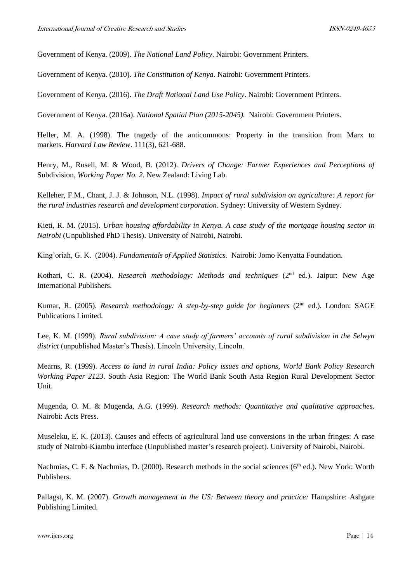Government of Kenya. (2009). *The National Land Policy*. Nairobi: Government Printers.

Government of Kenya. (2010). *The Constitution of Kenya*. Nairobi: Government Printers.

Government of Kenya. (2016). *The Draft National Land Use Policy*. Nairobi: Government Printers.

Government of Kenya. (2016a). *National Spatial Plan (2015-2045).* Nairobi: Government Printers.

Heller, M. A. (1998). The tragedy of the anticommons: Property in the transition from Marx to markets. *Harvard Law Review*. 111(3), 621-688.

Henry, M., Rusell, M. & Wood, B. (2012). *Drivers of Change: Farmer Experiences and Perceptions of*  Subdivision, *Working Paper No. 2*. New Zealand: Living Lab.

Kelleher, F.M., Chant, J. J. & Johnson, N.L. (1998). *Impact of rural subdivision on agriculture: A report for the rural industries research and development corporation*. Sydney: University of Western Sydney.

Kieti, R. M. (2015). *Urban housing affordability in Kenya. A case study of the mortgage housing sector in Nairobi* (Unpublished PhD Thesis). University of Nairobi, Nairobi.

King'oriah, G. K. (2004). *Fundamentals of Applied Statistics.* Nairobi: Jomo Kenyatta Foundation.

Kothari, C. R. (2004). *Research methodology: Methods and techniques* (2nd ed.). Jaipur: New Age International Publishers.

Kumar, R. (2005). *Research methodology: A step-by-step guide for beginners* (2<sup>nd</sup> ed.). London: SAGE Publications Limited.

Lee, K. M. (1999). *Rural subdivision: A case study of farmers' accounts of rural subdivision in the Selwyn district* (unpublished Master's Thesis). Lincoln University, Lincoln.

Mearns, R. (1999). *Access to land in rural India: Policy issues and options, World Bank Policy Research Working Paper 2123*. South Asia Region: The World Bank South Asia Region Rural Development Sector Unit.

Mugenda, O. M. & Mugenda, A.G. (1999). *Research methods: Quantitative and qualitative approaches*. Nairobi: Acts Press.

Museleku, E. K. (2013). Causes and effects of agricultural land use conversions in the urban fringes: A case study of Nairobi-Kiambu interface (Unpublished master's research project). University of Nairobi, Nairobi.

Nachmias, C. F. & Nachmias, D. (2000). Research methods in the social sciences ( $6<sup>th</sup>$  ed.). New York: Worth Publishers.

Pallagst, K. M. (2007). *Growth management in the US: Between theory and practice:* Hampshire: Ashgate Publishing Limited.